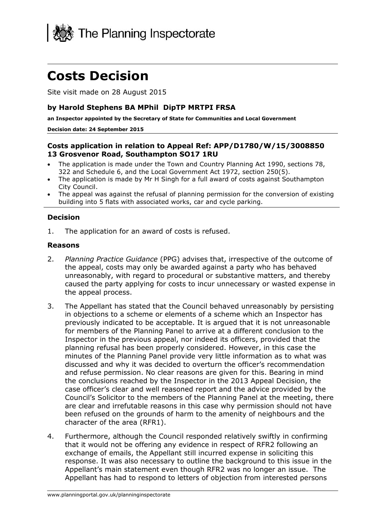

# **Costs Decision**

Site visit made on 28 August 2015

### **by Harold Stephens BA MPhil DipTP MRTPI FRSA**

**an Inspector appointed by the Secretary of State for Communities and Local Government**

#### **Decision date: 24 September 2015**

## **Costs application in relation to Appeal Ref: APP/D1780/W/15/3008850 13 Grosvenor Road, Southampton SO17 1RU**

- The application is made under the Town and Country Planning Act 1990, sections 78, 322 and Schedule 6, and the Local Government Act 1972, section 250(5).
- The application is made by Mr H Singh for a full award of costs against Southampton City Council.
- The appeal was against the refusal of planning permission for the conversion of existing building into 5 flats with associated works, car and cycle parking.

### **Decision**

1. The application for an award of costs is refused.

#### **Reasons**

- 2. *Planning Practice Guidance* (PPG) advises that, irrespective of the outcome of the appeal, costs may only be awarded against a party who has behaved unreasonably, with regard to procedural or substantive matters, and thereby caused the party applying for costs to incur unnecessary or wasted expense in the appeal process.
- 3. The Appellant has stated that the Council behaved unreasonably by persisting in objections to a scheme or elements of a scheme which an Inspector has previously indicated to be acceptable. It is argued that it is not unreasonable for members of the Planning Panel to arrive at a different conclusion to the Inspector in the previous appeal, nor indeed its officers, provided that the planning refusal has been properly considered. However, in this case the minutes of the Planning Panel provide very little information as to what was discussed and why it was decided to overturn the officer's recommendation and refuse permission. No clear reasons are given for this. Bearing in mind the conclusions reached by the Inspector in the 2013 Appeal Decision, the case officer's clear and well reasoned report and the advice provided by the Council's Solicitor to the members of the Planning Panel at the meeting, there are clear and irrefutable reasons in this case why permission should not have been refused on the grounds of harm to the amenity of neighbours and the character of the area (RFR1).
- 4. Furthermore, although the Council responded relatively swiftly in confirming that it would not be offering any evidence in respect of RFR2 following an exchange of emails, the Appellant still incurred expense in soliciting this response. It was also necessary to outline the background to this issue in the Appellant's main statement even though RFR2 was no longer an issue. The Appellant has had to respond to letters of objection from interested persons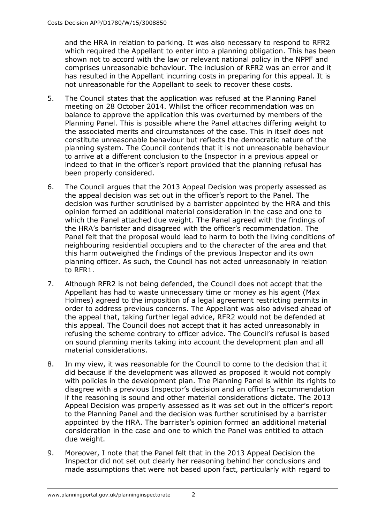and the HRA in relation to parking. It was also necessary to respond to RFR2 which required the Appellant to enter into a planning obligation. This has been shown not to accord with the law or relevant national policy in the NPPF and comprises unreasonable behaviour. The inclusion of RFR2 was an error and it has resulted in the Appellant incurring costs in preparing for this appeal. It is not unreasonable for the Appellant to seek to recover these costs.

- 5. The Council states that the application was refused at the Planning Panel meeting on 28 October 2014. Whilst the officer recommendation was on balance to approve the application this was overturned by members of the Planning Panel. This is possible where the Panel attaches differing weight to the associated merits and circumstances of the case. This in itself does not constitute unreasonable behaviour but reflects the democratic nature of the planning system. The Council contends that it is not unreasonable behaviour to arrive at a different conclusion to the Inspector in a previous appeal or indeed to that in the officer's report provided that the planning refusal has been properly considered.
- 6. The Council argues that the 2013 Appeal Decision was properly assessed as the appeal decision was set out in the officer's report to the Panel. The decision was further scrutinised by a barrister appointed by the HRA and this opinion formed an additional material consideration in the case and one to which the Panel attached due weight. The Panel agreed with the findings of the HRA's barrister and disagreed with the officer's recommendation. The Panel felt that the proposal would lead to harm to both the living conditions of neighbouring residential occupiers and to the character of the area and that this harm outweighed the findings of the previous Inspector and its own planning officer. As such, the Council has not acted unreasonably in relation to RFR1.
- 7. Although RFR2 is not being defended, the Council does not accept that the Appellant has had to waste unnecessary time or money as his agent (Max Holmes) agreed to the imposition of a legal agreement restricting permits in order to address previous concerns. The Appellant was also advised ahead of the appeal that, taking further legal advice, RFR2 would not be defended at this appeal. The Council does not accept that it has acted unreasonably in refusing the scheme contrary to officer advice. The Council's refusal is based on sound planning merits taking into account the development plan and all material considerations.
- 8. In my view, it was reasonable for the Council to come to the decision that it did because if the development was allowed as proposed it would not comply with policies in the development plan. The Planning Panel is within its rights to disagree with a previous Inspector's decision and an officer's recommendation if the reasoning is sound and other material considerations dictate. The 2013 Appeal Decision was properly assessed as it was set out in the officer's report to the Planning Panel and the decision was further scrutinised by a barrister appointed by the HRA. The barrister's opinion formed an additional material consideration in the case and one to which the Panel was entitled to attach due weight.
- 9. Moreover, I note that the Panel felt that in the 2013 Appeal Decision the Inspector did not set out clearly her reasoning behind her conclusions and made assumptions that were not based upon fact, particularly with regard to